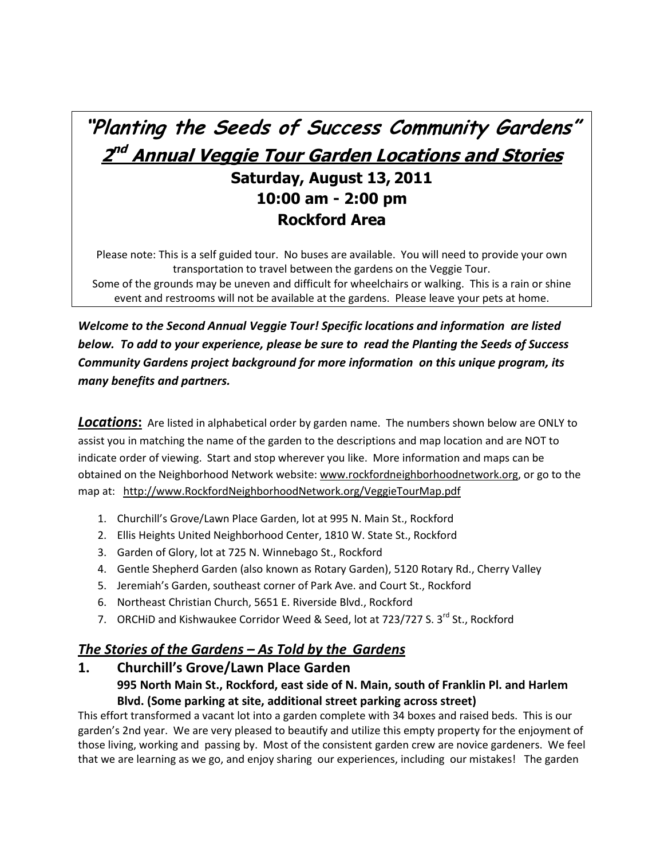# **"Planting the Seeds of Success Community Gardens" 2 nd Annual Veggie Tour Garden Locations and Stories Saturday, August 13, 2011 10:00 am - 2:00 pm Rockford Area**

Please note: This is a self guided tour. No buses are available. You will need to provide your own transportation to travel between the gardens on the Veggie Tour. Some of the grounds may be uneven and difficult for wheelchairs or walking. This is a rain or shine event and restrooms will not be available at the gardens. Please leave your pets at home.

*Welcome to the Second Annual Veggie Tour! Specific locations and information are listed below. To add to your experience, please be sure to read the Planting the Seeds of Success Community Gardens project background for more information on this unique program, its many benefits and partners.*

*Locations***:** Are listed in alphabetical order by garden name. The numbers shown below are ONLY to assist you in matching the name of the garden to the descriptions and map location and are NOT to indicate order of viewing. Start and stop wherever you like. More information and maps can be obtained on the Neighborhood Network website: [www.rockfordneighborhoodnetwork.org,](http://www.rockfordneighborhoodnetwork.org/) or go to the map at: [http://www.RockfordNeighborhoodNetwork.org/VeggieTourMap.pdf](http://www.rockfordneighborhoodnetwork.org/VeggieTourMap.pdf)

- 1. Churchill's Grove/Lawn Place Garden, lot at 995 N. Main St., Rockford
- 2. Ellis Heights United Neighborhood Center, 1810 W. State St., Rockford
- 3. Garden of Glory, lot at 725 N. Winnebago St., Rockford
- 4. Gentle Shepherd Garden (also known as Rotary Garden), 5120 Rotary Rd., Cherry Valley
- 5. Jeremiah's Garden, southeast corner of Park Ave. and Court St., Rockford
- 6. Northeast Christian Church, 5651 E. Riverside Blvd., Rockford
- 7. ORCHID and Kishwaukee Corridor Weed & Seed, lot at 723/727 S.  $3^{rd}$  St., Rockford

# *The Stories of the Gardens – As Told by the Gardens*

**1. Churchill's Grove/Lawn Place Garden 995 North Main St., Rockford, east side of N. Main, south of Franklin Pl. and Harlem Blvd. (Some parking at site, additional street parking across street)** 

This effort transformed a vacant lot into a garden complete with 34 boxes and raised beds. This is our garden's 2nd year. We are very pleased to beautify and utilize this empty property for the enjoyment of those living, working and passing by. Most of the consistent garden crew are novice gardeners. We feel that we are learning as we go, and enjoy sharing our experiences, including our mistakes! The garden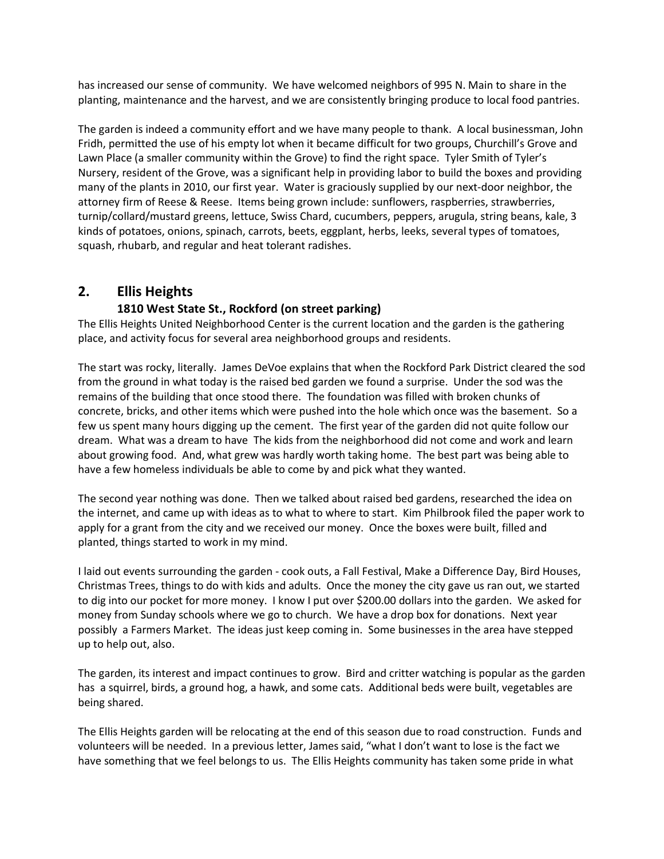has increased our sense of community. We have welcomed neighbors of 995 N. Main to share in the planting, maintenance and the harvest, and we are consistently bringing produce to local food pantries.

The garden is indeed a community effort and we have many people to thank. A local businessman, John Fridh, permitted the use of his empty lot when it became difficult for two groups, Churchill's Grove and Lawn Place (a smaller community within the Grove) to find the right space. Tyler Smith of Tyler's Nursery, resident of the Grove, was a significant help in providing labor to build the boxes and providing many of the plants in 2010, our first year. Water is graciously supplied by our next-door neighbor, the attorney firm of Reese & Reese. Items being grown include: sunflowers, raspberries, strawberries, turnip/collard/mustard greens, lettuce, Swiss Chard, cucumbers, peppers, arugula, string beans, kale, 3 kinds of potatoes, onions, spinach, carrots, beets, eggplant, herbs, leeks, several types of tomatoes, squash, rhubarb, and regular and heat tolerant radishes.

### **2. Ellis Heights**

#### **1810 West State St., Rockford (on street parking)**

The Ellis Heights United Neighborhood Center is the current location and the garden is the gathering place, and activity focus for several area neighborhood groups and residents.

The start was rocky, literally. James DeVoe explains that when the Rockford Park District cleared the sod from the ground in what today is the raised bed garden we found a surprise. Under the sod was the remains of the building that once stood there. The foundation was filled with broken chunks of concrete, bricks, and other items which were pushed into the hole which once was the basement. So a few us spent many hours digging up the cement. The first year of the garden did not quite follow our dream. What was a dream to have The kids from the neighborhood did not come and work and learn about growing food. And, what grew was hardly worth taking home. The best part was being able to have a few homeless individuals be able to come by and pick what they wanted.

The second year nothing was done. Then we talked about raised bed gardens, researched the idea on the internet, and came up with ideas as to what to where to start. Kim Philbrook filed the paper work to apply for a grant from the city and we received our money. Once the boxes were built, filled and planted, things started to work in my mind.

I laid out events surrounding the garden - cook outs, a Fall Festival, Make a Difference Day, Bird Houses, Christmas Trees, things to do with kids and adults. Once the money the city gave us ran out, we started to dig into our pocket for more money. I know I put over \$200.00 dollars into the garden. We asked for money from Sunday schools where we go to church. We have a drop box for donations. Next year possibly a Farmers Market. The ideas just keep coming in. Some businesses in the area have stepped up to help out, also.

The garden, its interest and impact continues to grow. Bird and critter watching is popular as the garden has a squirrel, birds, a ground hog, a hawk, and some cats. Additional beds were built, vegetables are being shared.

The Ellis Heights garden will be relocating at the end of this season due to road construction. Funds and volunteers will be needed. In a previous letter, James said, "what I don't want to lose is the fact we have something that we feel belongs to us. The Ellis Heights community has taken some pride in what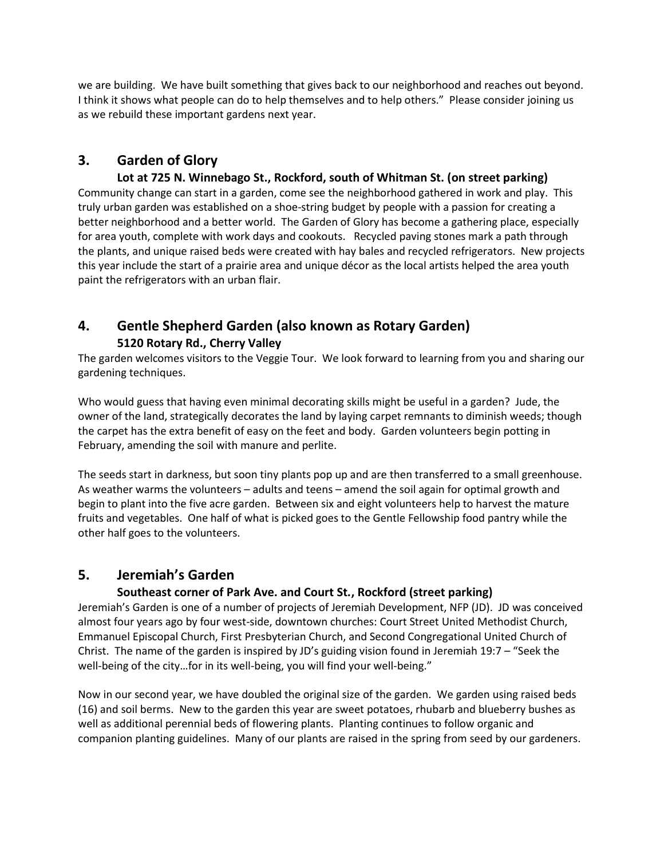we are building. We have built something that gives back to our neighborhood and reaches out beyond. I think it shows what people can do to help themselves and to help others." Please consider joining us as we rebuild these important gardens next year.

# **3. Garden of Glory**

**Lot at 725 N. Winnebago St., Rockford, south of Whitman St. (on street parking)** Community change can start in a garden, come see the neighborhood gathered in work and play. This truly urban garden was established on a shoe-string budget by people with a passion for creating a better neighborhood and a better world. The Garden of Glory has become a gathering place, especially for area youth, complete with work days and cookouts. Recycled paving stones mark a path through the plants, and unique raised beds were created with hay bales and recycled refrigerators. New projects this year include the start of a prairie area and unique décor as the local artists helped the area youth paint the refrigerators with an urban flair.

## **4. Gentle Shepherd Garden (also known as Rotary Garden) 5120 Rotary Rd., Cherry Valley**

The garden welcomes visitors to the Veggie Tour. We look forward to learning from you and sharing our gardening techniques.

Who would guess that having even minimal decorating skills might be useful in a garden? Jude, the owner of the land, strategically decorates the land by laying carpet remnants to diminish weeds; though the carpet has the extra benefit of easy on the feet and body. Garden volunteers begin potting in February, amending the soil with manure and perlite.

The seeds start in darkness, but soon tiny plants pop up and are then transferred to a small greenhouse. As weather warms the volunteers – adults and teens – amend the soil again for optimal growth and begin to plant into the five acre garden. Between six and eight volunteers help to harvest the mature fruits and vegetables. One half of what is picked goes to the Gentle Fellowship food pantry while the other half goes to the volunteers.

## **5. Jeremiah's Garden**

#### **Southeast corner of Park Ave. and Court St., Rockford (street parking)**

Jeremiah's Garden is one of a number of projects of Jeremiah Development, NFP (JD). JD was conceived almost four years ago by four west-side, downtown churches: Court Street United Methodist Church, Emmanuel Episcopal Church, First Presbyterian Church, and Second Congregational United Church of Christ. The name of the garden is inspired by JD's guiding vision found in Jeremiah 19:7 – "Seek the well-being of the city…for in its well-being, you will find your well-being."

Now in our second year, we have doubled the original size of the garden. We garden using raised beds (16) and soil berms. New to the garden this year are sweet potatoes, rhubarb and blueberry bushes as well as additional perennial beds of flowering plants. Planting continues to follow organic and companion planting guidelines. Many of our plants are raised in the spring from seed by our gardeners.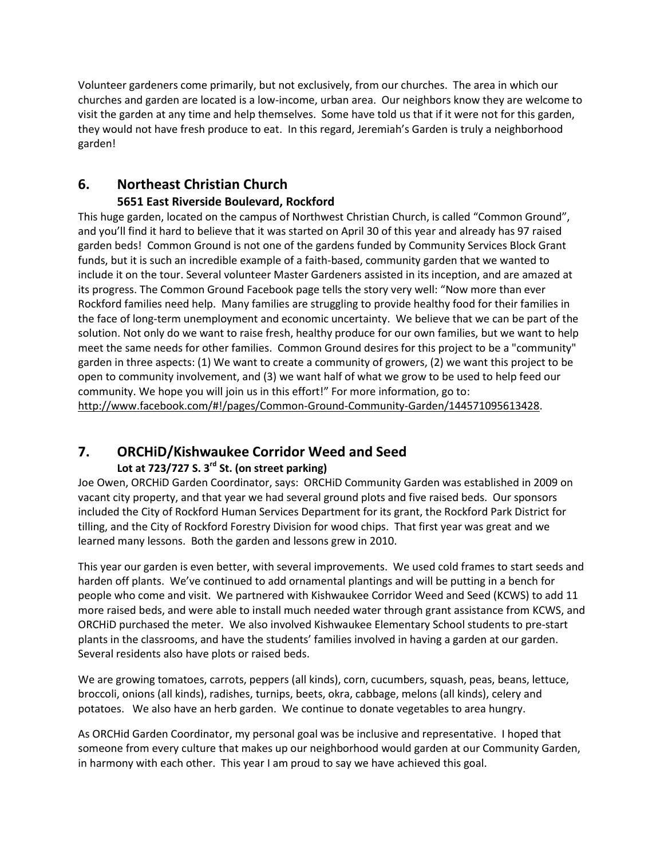Volunteer gardeners come primarily, but not exclusively, from our churches. The area in which our churches and garden are located is a low-income, urban area. Our neighbors know they are welcome to visit the garden at any time and help themselves. Some have told us that if it were not for this garden, they would not have fresh produce to eat. In this regard, Jeremiah's Garden is truly a neighborhood garden!

#### **6. Northeast Christian Church 5651 East Riverside Boulevard, Rockford**

This huge garden, located on the campus of Northwest Christian Church, is called "Common Ground", and you'll find it hard to believe that it was started on April 30 of this year and already has 97 raised garden beds! Common Ground is not one of the gardens funded by Community Services Block Grant funds, but it is such an incredible example of a faith-based, community garden that we wanted to include it on the tour. Several volunteer Master Gardeners assisted in its inception, and are amazed at its progress. The Common Ground Facebook page tells the story very well: "Now more than ever Rockford families need help. Many families are struggling to provide healthy food for their families in the face of long-term unemployment and economic uncertainty. We believe that we can be part of the solution. Not only do we want to raise fresh, healthy produce for our own families, but we want to help meet the same needs for other families. Common Ground desires for this project to be a "community" garden in three aspects: (1) We want to create a community of growers, (2) we want this project to be open to community involvement, and (3) we want half of what we grow to be used to help feed our community. We hope you will join us in this effort!" For more information, go to: [http://www.facebook.com/#!/pages/Common-Ground-Community-Garden/144571095613428.](http://www.facebook.com/#!/pages/Common-Ground-Community-Garden/144571095613428)

#### **7. ORCHiD/Kishwaukee Corridor Weed and Seed Lot at 723/727 S. 3rd St. (on street parking)**

Joe Owen, ORCHiD Garden Coordinator, says: ORCHiD Community Garden was established in 2009 on vacant city property, and that year we had several ground plots and five raised beds. Our sponsors included the City of Rockford Human Services Department for its grant, the Rockford Park District for tilling, and the City of Rockford Forestry Division for wood chips. That first year was great and we learned many lessons. Both the garden and lessons grew in 2010.

This year our garden is even better, with several improvements. We used cold frames to start seeds and harden off plants. We've continued to add ornamental plantings and will be putting in a bench for people who come and visit. We partnered with Kishwaukee Corridor Weed and Seed (KCWS) to add 11 more raised beds, and were able to install much needed water through grant assistance from KCWS, and ORCHiD purchased the meter. We also involved Kishwaukee Elementary School students to pre-start plants in the classrooms, and have the students' families involved in having a garden at our garden. Several residents also have plots or raised beds.

We are growing tomatoes, carrots, peppers (all kinds), corn, cucumbers, squash, peas, beans, lettuce, broccoli, onions (all kinds), radishes, turnips, beets, okra, cabbage, melons (all kinds), celery and potatoes. We also have an herb garden. We continue to donate vegetables to area hungry.

As ORCHid Garden Coordinator, my personal goal was be inclusive and representative. I hoped that someone from every culture that makes up our neighborhood would garden at our Community Garden, in harmony with each other. This year I am proud to say we have achieved this goal.